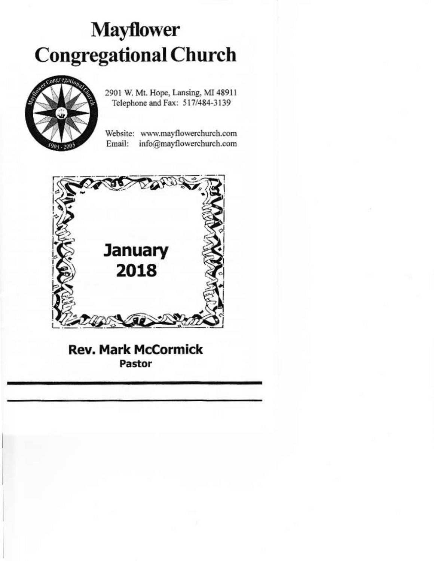# **Mayflower Congregational Church**



2901 W. Mt. Hope, Lansing, MI 48911 Telephone and Fax: 517/484-3139

Website: www.mayflowerchurch.com info@mayflowerchurch.com Email:



**Rev. Mark McCormick** Pastor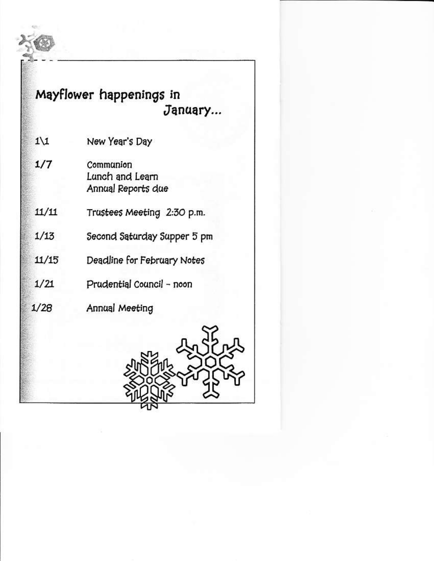### Mayflower happenings in January...

- $1\backslash 1$ New Year's Day
- $1/7$ Communion Lunch and Learn Annual Reports due
- $11/11$ Trustees Meeting 2:30 p.m.
	- $1/13$ Second Saturday Supper 5 pm
- Deadline for February Notes  $11/15$ 
	- $1/21$ Prudential Council - noon
		- Annual Meeting

 $1/28$ 

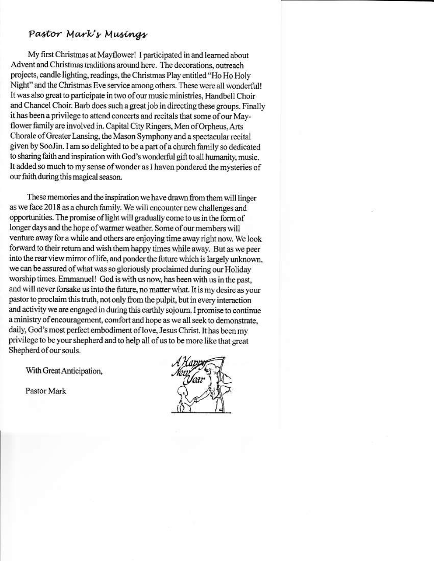### Pastor Mark's Musings

My first Christmas at Mayflower! I participated in and learned about Advent and Christmas traditions around here. The decorations, outreach projects, candle lighting, readings, the Christmas Play entitled "Ho Ho Holy Night" and the Christmas Eve service among others. These were all wonderful! It was also great to participate in two of our music ministries, Handbell Choir and Chancel Choir. Barb does such a great job in directing these groups. Finally it has been a privilege to attend concerts and recitals that some of our Mayflower family are involved in. Capital City Ringers, Men of Orpheus, Arts Chorale of Greater Lansing, the Mason Symphony and a spectacular recital given by SooJin. I am so delighted to be a part of a church family so dedicated to sharing faith and inspiration with God's wonderful gift to all humanity, music. It added so much to my sense of wonder as I haven pondered the mysteries of our faith during this magical season.

These memories and the inspiration we have drawn from them will linger as we face 2018 as a church family. We will encounter new challenges and opportunities. The promise of light will gradually come to us in the form of longer days and the hope of warmer weather. Some of our members will venture away for a while and others are enjoying time away right now. We look forward to their return and wish them happy times while away. But as we peer into the rear view mirror of life, and ponder the future which is largely unknown, we can be assured of what was so gloriously proclaimed during our Holiday worship times. Emmanuel! God is with us now, has been with us in the past, and will never forsake us into the future, no matter what. It is my desire as your pastor to proclaim this truth, not only from the pulpit, but in every interaction and activity we are engaged in during this earthly sojourn. I promise to continue a ministry of encouragement, comfort and hope as we all seek to demonstrate, daily, God's most perfect embodiment of love, Jesus Christ. It has been my privilege to be your shepherd and to help all of us to be more like that great Shepherd of our souls.

With Great Anticipation,

Pastor Mark

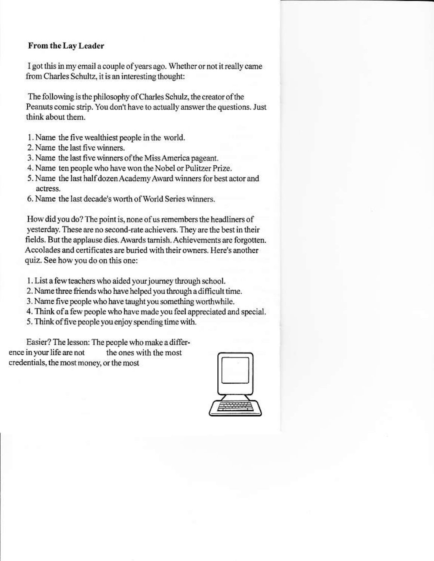#### From the Lay Leader

I got this in my email a couple of years ago. Whether or not it really came from Charles Schultz, it is an interesting thought:

The following is the philosophy of Charles Schulz, the creator of the Peanuts comic strip. You don't have to actually answer the questions. Just think about them.

- 1. Name the five wealthiest people in the world.
- 2. Name the last five winners.
- 3. Name the last five winners of the Miss America pageant.
- 4. Name ten people who have won the Nobel or Pulitzer Prize.
- 5. Name the last half dozen Academy Award winners for best actor and actress.
- 6. Name the last decade's worth of World Series winners.

How did you do? The point is, none of us remembers the headliners of yesterday. These are no second-rate achievers. They are the best in their fields. But the applause dies. Awards tarnish. Achievements are forgotten. Accolades and certificates are buried with their owners. Here's another quiz. See how you do on this one:

- 1. List a few teachers who aided your journey through school.
- 2. Name three friends who have helped you through a difficult time.
- 3. Name five people who have taught you something worthwhile.
- 4. Think of a few people who have made you feel appreciated and special.
- 5. Think of five people you enjoy spending time with.

Easier? The lesson: The people who make a difference in your life are not the ones with the most credentials, the most money, or the most

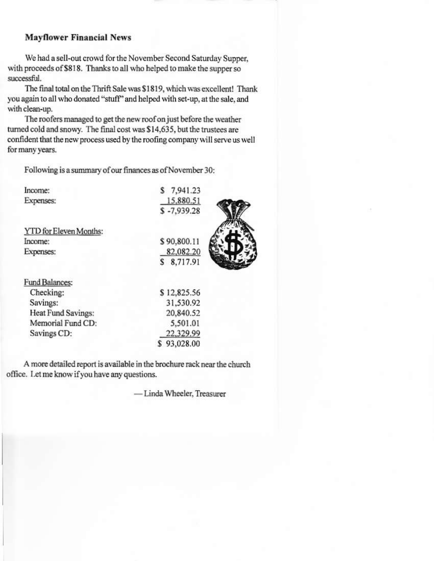#### **Mayflower Financial News**

We had a sell-out crowd for the November Second Saturday Supper, with proceeds of \$818. Thanks to all who helped to make the supper so successful.

The final total on the Thrift Sale was \$1819, which was excellent! Thank you again to all who donated "stuff" and helped with set-up, at the sale, and with clean-up.

The roofers managed to get the new roof on just before the weather turned cold and snowy. The final cost was \$14,635, but the trustees are confident that the new process used by the roofing company will serve us well for many years.

Following is a summary of our finances as of November 30:

| Income:                | \$7,941.23    |  |
|------------------------|---------------|--|
| Expenses:              | 15,880.51     |  |
|                        | $$ -7,939.28$ |  |
| YTD for Eleven Months: |               |  |
| Income:                | \$90,800.11   |  |
| Expenses:              | 82,082.20     |  |
|                        | \$8,717.91    |  |
| Fund Balances:         |               |  |
| Checking:              | \$12,825.56   |  |
| Savings:               | 31,530.92     |  |
| Heat Fund Savings:     | 20,840.52     |  |
| Memorial Fund CD:      | 5,501.01      |  |
| Savings CD:            | 22,329.99     |  |
|                        | \$93,028.00   |  |

A more detailed report is available in the brochure rack near the church office. Let me know if you have any questions.

- Linda Wheeler, Treasurer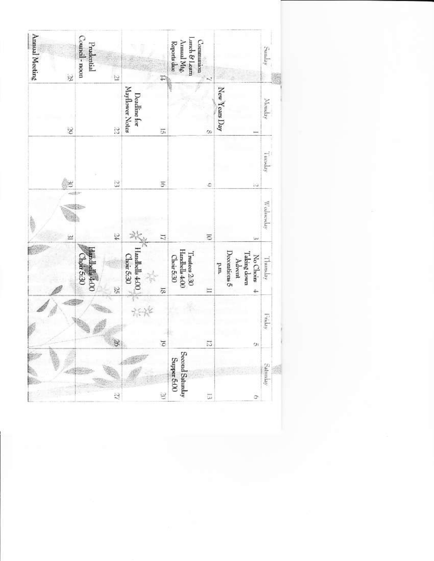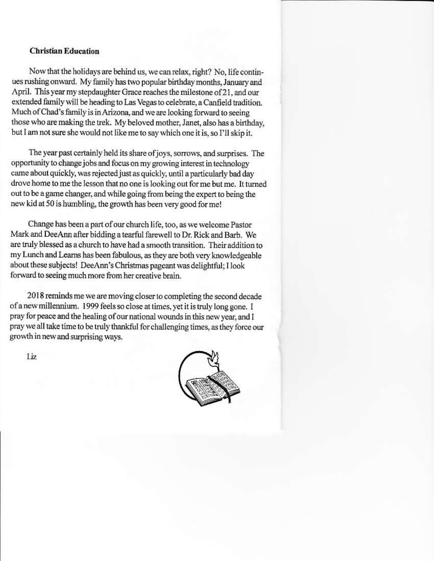#### **Christian Education**

Now that the holidays are behind us, we can relax, right? No, life continues rushing onward. My family has two popular birthday months, January and April. This year my stepdaughter Grace reaches the milestone of 21, and our extended family will be heading to Las Vegas to celebrate, a Canfield tradition. Much of Chad's family is in Arizona, and we are looking forward to seeing those who are making the trek. My beloved mother, Janet, also has a birthday, but I am not sure she would not like me to say which one it is, so I'll skip it.

The year past certainly held its share of joys, sorrows, and surprises. The opportunity to change jobs and focus on my growing interest in technology came about quickly, was rejected just as quickly, until a particularly bad day drove home to me the lesson that no one is looking out for me but me. It turned out to be a game changer, and while going from being the expert to being the new kid at 50 is humbling, the growth has been very good for me!

Change has been a part of our church life, too, as we welcome Pastor Mark and DeeAnn after bidding a tearful farewell to Dr. Rick and Barb. We are truly blessed as a church to have had a smooth transition. Their addition to my Lunch and Learns has been fabulous, as they are both very knowledgeable about these subjects! DeeAnn's Christmas pageant was delightful: I look forward to seeing much more from her creative brain.

2018 reminds me we are moving closer to completing the second decade of a new millennium. 1999 feels so close at times, yet it is truly long gone. I pray for peace and the healing of our national wounds in this new year, and I pray we all take time to be truly thankful for challenging times, as they force our growth in new and surprising ways.



Liz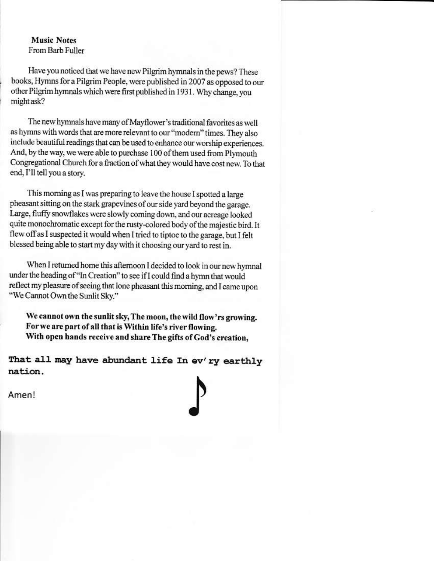#### **Music Notes** From Barb Fuller

Have you noticed that we have new Pilgrim hymnals in the pews? These books, Hymns for a Pilgrim People, were published in 2007 as opposed to our other Pilgrim hymnals which were first published in 1931. Why change, you might ask?

The new hymnals have many of Mayflower's traditional favorites as well as hymns with words that are more relevant to our "modern" times. They also include beautiful readings that can be used to enhance our worship experiences. And, by the way, we were able to purchase 100 of them used from Plymouth Congregational Church for a fraction of what they would have cost new. To that end, I'll tell you a story.

This morning as I was preparing to leave the house I spotted a large pheasant sitting on the stark grapevines of our side yard beyond the garage. Large, fluffy snowflakes were slowly coming down, and our acreage looked quite monochromatic except for the rusty-colored body of the majestic bird. It flew off as I suspected it would when I tried to tiptoe to the garage, but I felt blessed being able to start my day with it choosing our yard to rest in.

When I returned home this afternoon I decided to look in our new hymnal under the heading of "In Creation" to see if I could find a hymn that would reflect my pleasure of seeing that lone pheasant this morning, and I came upon "We Cannot Own the Sunlit Sky."

We cannot own the sunlit sky, The moon, the wild flow'rs growing. For we are part of all that is Within life's river flowing. With open hands receive and share The gifts of God's creation,

That all may have abundant life In ev'ry earthly nation.



Amen!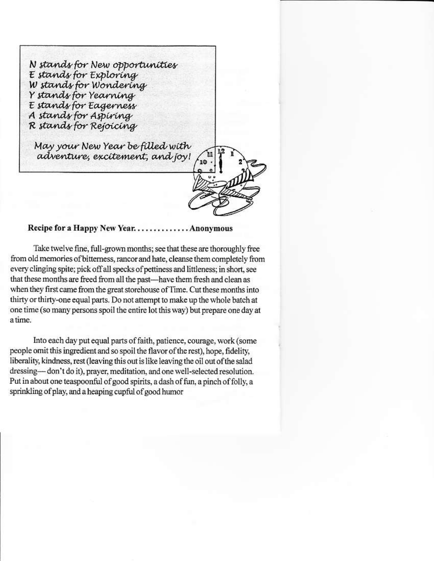N stands for New opportunities E stands for Exploring W stands for Wondering Y stands for Yearning E stands for Eagerness A stands for Aspiring R stands for Rejoicing May your New Year be filled with adventure, excitement, and joy! 10

Recipe for a Happy New Year.............. Anonymous

Take twelve fine, full-grown months; see that these are thoroughly free from old memories of bitterness, rancor and hate, cleanse them completely from every clinging spite; pick off all specks of pettiness and littleness; in short, see that these months are freed from all the past-have them fresh and clean as when they first came from the great storehouse of Time. Cut these months into thirty or thirty-one equal parts. Do not attempt to make up the whole batch at one time (so many persons spoil the entire lot this way) but prepare one day at a time

Into each day put equal parts of faith, patience, courage, work (some people omit this ingredient and so spoil the flavor of the rest), hope, fidelity, liberality, kindness, rest (leaving this out is like leaving the oil out of the salad dressing-don't do it), prayer, meditation, and one well-selected resolution. Put in about one teaspoonful of good spirits, a dash of fun, a pinch of folly, a sprinkling of play, and a heaping cupful of good humor